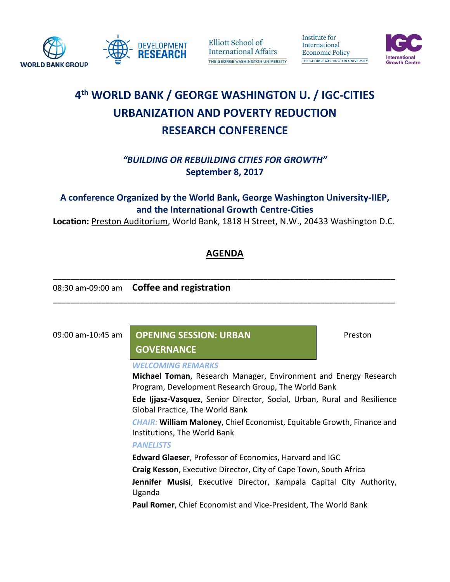

Elliott School of **International Affairs** THE GEORGE WASHINGTON UNIVERSITY Institute for International **Economic Policy** THE GEORGE WASHINGTON UNIVERSITY



# **4 th WORLD BANK / GEORGE WASHINGTON U. / IGC-CITIES URBANIZATION AND POVERTY REDUCTION RESEARCH CONFERENCE**

*"BUILDING OR REBUILDING CITIES FOR GROWTH"* **September 8, 2017**

**A conference Organized by the World Bank, George Washington University-IIEP, and the International Growth Centre-Cities**

**Location:** Preston Auditorium, World Bank, 1818 H Street, N.W., 20433 Washington D.C.

## **AGENDA**

**\_\_\_\_\_\_\_\_\_\_\_\_\_\_\_\_\_\_\_\_\_\_\_\_\_\_\_\_\_\_\_\_\_\_\_\_\_\_\_\_\_\_\_\_\_\_\_\_\_\_\_\_\_\_\_\_\_\_\_\_\_\_\_\_\_\_\_\_\_\_\_\_\_\_\_\_\_\_**

**\_\_\_\_\_\_\_\_\_\_\_\_\_\_\_\_\_\_\_\_\_\_\_\_\_\_\_\_\_\_\_\_\_\_\_\_\_\_\_\_\_\_\_\_\_\_\_\_\_\_\_\_\_\_\_\_\_\_\_\_\_\_\_\_\_\_\_\_\_\_\_\_\_\_\_\_\_\_**

08:30 am-09:00 am **Coffee and registration**

# 09:00 am-10:45 am **Preston Bullet SESSION: URBAN** Preston

### **GOVERNANCE**

#### *WELCOMING REMARKS*

**Michael Toman**, Research Manager, Environment and Energy Research Program, Development Research Group, The World Bank

**Ede Ijjasz-Vasquez**, Senior Director, Social, Urban, Rural and Resilience Global Practice, The World Bank

*CHAIR:* **William Maloney**, Chief Economist, Equitable Growth, Finance and Institutions, The World Bank

### *PANELISTS*

**Edward Glaeser**, Professor of Economics, Harvard and IGC

**Craig Kesson**, Executive Director, City of Cape Town, South Africa

**Jennifer Musisi**, Executive Director, Kampala Capital City Authority, Uganda

**Paul Romer**, Chief Economist and Vice-President, The World Bank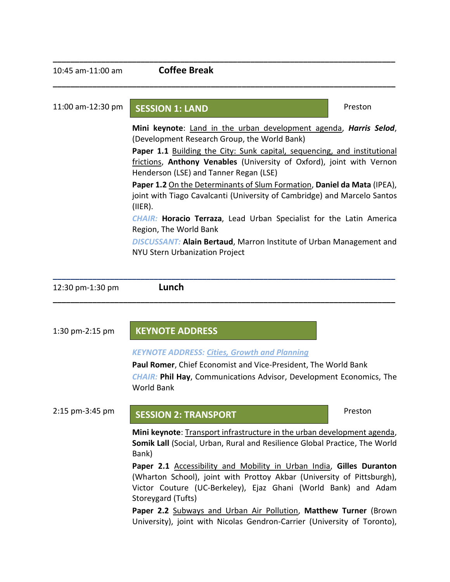**\_\_\_\_\_\_\_\_\_\_\_\_\_\_\_\_\_\_\_\_\_\_\_\_\_\_\_\_\_\_\_\_\_\_\_\_\_\_\_\_\_\_\_\_\_\_\_\_\_\_\_\_\_\_\_\_\_\_\_\_\_\_\_\_\_\_\_\_\_\_\_\_\_\_\_\_\_\_**

**\_\_\_\_\_\_\_\_\_\_\_\_\_\_\_\_\_\_\_\_\_\_\_\_\_\_\_\_\_\_\_\_\_\_\_\_\_\_\_\_\_\_\_\_\_\_\_\_\_\_\_\_\_\_\_\_\_\_\_\_\_\_\_\_\_\_\_\_\_\_\_\_\_\_\_\_\_\_**

# 11:00 am-12:30 pm **SESSION 1: LAND** Preston

**Mini keynote**: Land in the urban development agenda, *Harris Selod*, (Development Research Group, the World Bank)

Paper 1.1 Building the City: Sunk capital, sequencing, and institutional frictions, **Anthony Venables** (University of Oxford), joint with Vernon Henderson (LSE) and Tanner Regan (LSE)

**Paper 1.2** On the Determinants of Slum Formation, **Daniel da Mata** (IPEA), joint with Tiago Cavalcanti (University of Cambridge) and Marcelo Santos (IIER).

*CHAIR:* **Horacio Terraza**, Lead Urban Specialist for the Latin America Region, The World Bank

*DISCUSSANT:* **Alain Bertaud**, Marron Institute of Urban Management and NYU Stern Urbanization Project

| 12:30 pm-1:30 pm | Lunch |
|------------------|-------|
|------------------|-------|

| 1:30 pm-2:15 pm | <b>KEYNOTE ADDRESS</b>                                                                                                                                                                                            |         |  |
|-----------------|-------------------------------------------------------------------------------------------------------------------------------------------------------------------------------------------------------------------|---------|--|
|                 | <b>KEYNOTE ADDRESS: Cities, Growth and Planning</b><br>Paul Romer, Chief Economist and Vice-President, The World Bank<br>CHAIR: Phil Hay, Communications Advisor, Development Economics, The<br><b>World Bank</b> |         |  |
| 2:15 pm-3:45 pm | <b>SESSION 2: TRANSPORT</b>                                                                                                                                                                                       | Preston |  |
|                 | Mini keynote: Transport infrastructure in the urban development agenda,<br>Somik Lall (Social, Urban, Rural and Resilience Global Practice, The World<br>Bank)                                                    |         |  |
|                 | Paper 2.1 Accessibility and Mobility in Urban India, Gilles Duranton<br>(Wharton School), joint with Prottoy Akbar (University of Pittsburgh),<br>Victor Couture (UC-Berkeley), Ejaz Ghani (World Bank) and Adam  |         |  |

Storeygard (Tufts)

**\_\_\_\_\_\_\_\_\_\_\_\_\_\_\_\_\_\_\_\_\_\_\_\_\_\_\_\_\_\_\_\_\_\_\_\_\_\_\_\_\_\_\_\_\_\_\_\_\_\_\_\_\_\_\_\_\_\_\_\_\_\_\_\_\_\_\_\_\_\_\_\_\_\_\_\_\_\_**

**\_\_\_\_\_\_\_\_\_\_\_\_\_\_\_\_\_\_\_\_\_\_\_\_\_\_\_\_\_\_\_\_\_\_\_\_\_\_\_\_\_\_\_\_\_\_\_\_\_\_\_\_\_\_\_\_\_\_\_\_\_\_\_\_\_\_\_\_\_\_\_\_\_\_\_\_\_\_**

**Paper 2.2** Subways and Urban Air Pollution, **Matthew Turner** (Brown University), joint with Nicolas Gendron-Carrier (University of Toronto),